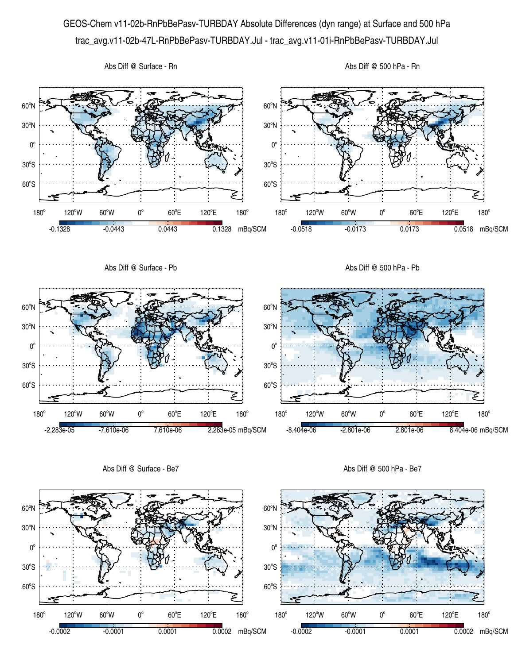## GEOS-Chem v11-02b-RnPbBePasv-TURBDAY Absolute Differences (dyn range) at Surface and 500 hPa trac\_avg.v11-02b-47L-RnPbBePasv-TURBDAY.Jul - trac\_avg.v11-01i-RnPbBePasv-TURBDAY.Jul



Abs Diff @ Surface - Be7

Abs Diff @ 500 hPa - Be7